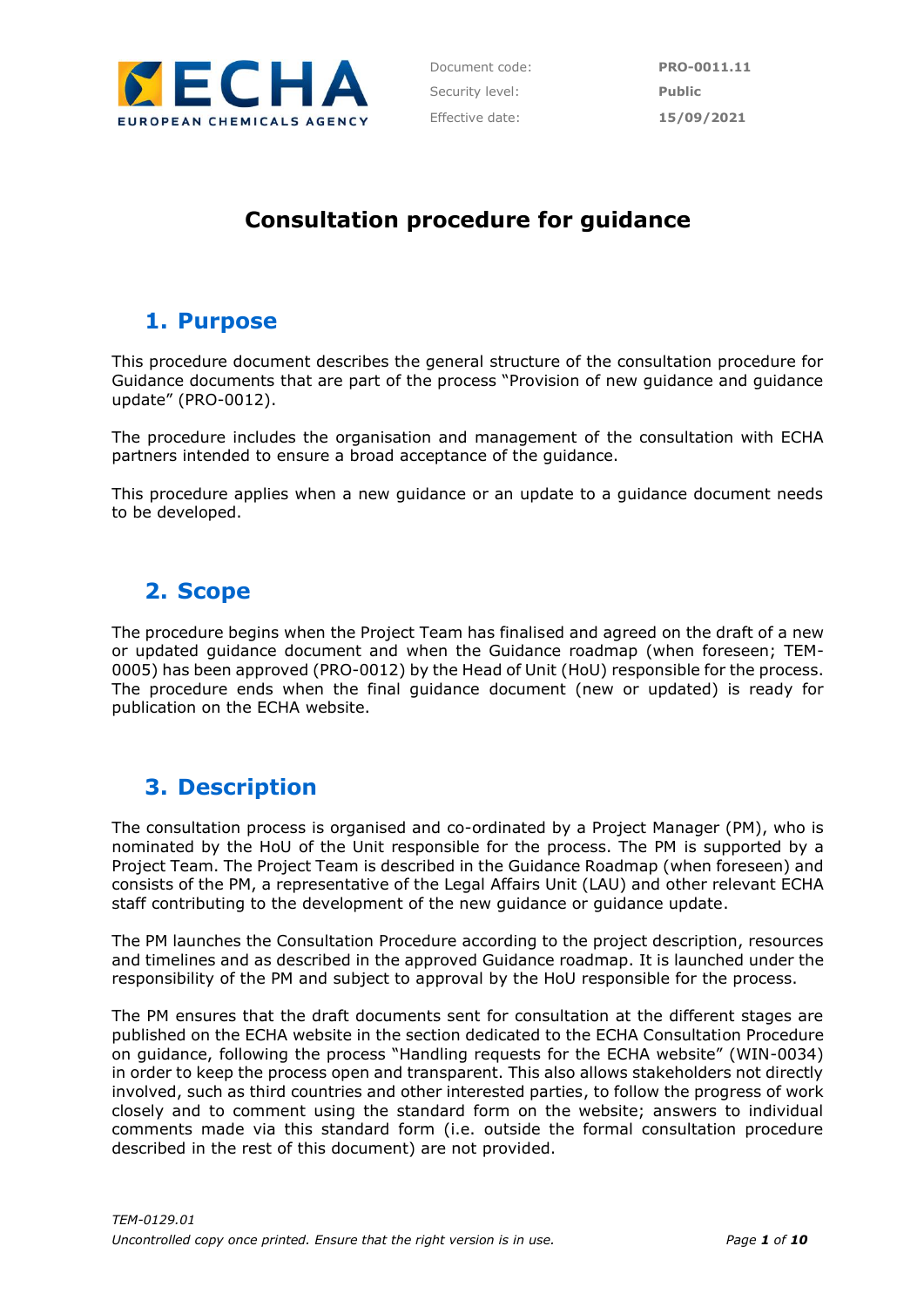

Document code: **PRO-0011.11** Security level: **Public** Effective date: **15/09/2021**

# **Consultation procedure for guidance**

## **1. Purpose**

This procedure document describes the general structure of the consultation procedure for Guidance documents that are part of the process "Provision of new guidance and guidance update" (PRO-0012).

The procedure includes the organisation and management of the consultation with ECHA partners intended to ensure a broad acceptance of the guidance.

This procedure applies when a new guidance or an update to a guidance document needs to be developed.

## **2. Scope**

The procedure begins when the Project Team has finalised and agreed on the draft of a new or updated guidance document and when the Guidance roadmap (when foreseen; TEM-0005) has been approved (PRO-0012) by the Head of Unit (HoU) responsible for the process. The procedure ends when the final guidance document (new or updated) is ready for publication on the ECHA website.

## **3. Description**

The consultation process is organised and co-ordinated by a Project Manager (PM), who is nominated by the HoU of the Unit responsible for the process. The PM is supported by a Project Team. The Project Team is described in the Guidance Roadmap (when foreseen) and consists of the PM, a representative of the Legal Affairs Unit (LAU) and other relevant ECHA staff contributing to the development of the new guidance or guidance update.

The PM launches the Consultation Procedure according to the project description, resources and timelines and as described in the approved Guidance roadmap. It is launched under the responsibility of the PM and subject to approval by the HoU responsible for the process.

The PM ensures that the draft documents sent for consultation at the different stages are published on the ECHA website in the section dedicated to the ECHA Consultation Procedure on guidance, following the process "Handling requests for the ECHA website" (WIN-0034) in order to keep the process open and transparent. This also allows stakeholders not directly involved, such as third countries and other interested parties, to follow the progress of work closely and to comment using the standard form on the website; answers to individual comments made via this standard form (i.e. outside the formal consultation procedure described in the rest of this document) are not provided.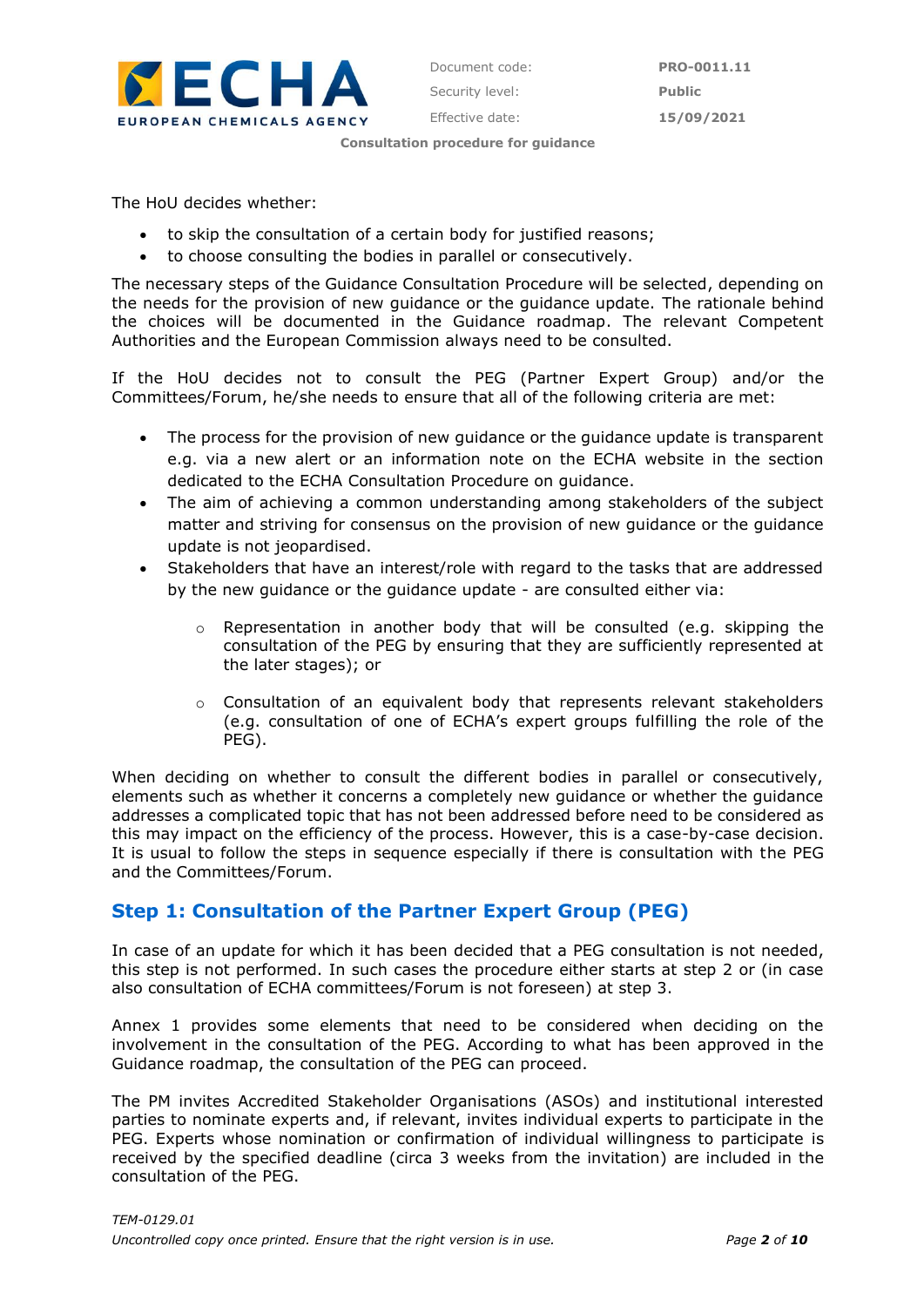

The HoU decides whether:

- to skip the consultation of a certain body for justified reasons;
- to choose consulting the bodies in parallel or consecutively.

The necessary steps of the Guidance Consultation Procedure will be selected, depending on the needs for the provision of new guidance or the guidance update. The rationale behind the choices will be documented in the Guidance roadmap. The relevant Competent Authorities and the European Commission always need to be consulted.

If the HoU decides not to consult the PEG (Partner Expert Group) and/or the Committees/Forum, he/she needs to ensure that all of the following criteria are met:

- The process for the provision of new guidance or the guidance update is transparent e.g. via a new alert or an information note on the ECHA website in the section dedicated to the ECHA Consultation Procedure on guidance.
- The aim of achieving a common understanding among stakeholders of the subject matter and striving for consensus on the provision of new guidance or the guidance update is not jeopardised.
- Stakeholders that have an interest/role with regard to the tasks that are addressed by the new guidance or the guidance update - are consulted either via:
	- o Representation in another body that will be consulted (e.g. skipping the consultation of the PEG by ensuring that they are sufficiently represented at the later stages); or
	- $\circ$  Consultation of an equivalent body that represents relevant stakeholders (e.g. consultation of one of ECHA's expert groups fulfilling the role of the PEG).

When deciding on whether to consult the different bodies in parallel or consecutively, elements such as whether it concerns a completely new guidance or whether the guidance addresses a complicated topic that has not been addressed before need to be considered as this may impact on the efficiency of the process. However, this is a case-by-case decision. It is usual to follow the steps in sequence especially if there is consultation with the PEG and the Committees/Forum.

### **Step 1: Consultation of the Partner Expert Group (PEG)**

In case of an update for which it has been decided that a PEG consultation is not needed, this step is not performed. In such cases the procedure either starts at step 2 or (in case also consultation of ECHA committees/Forum is not foreseen) at step 3.

Annex 1 provides some elements that need to be considered when deciding on the involvement in the consultation of the PEG. According to what has been approved in the Guidance roadmap, the consultation of the PEG can proceed.

The PM invites Accredited Stakeholder Organisations (ASOs) and institutional interested parties to nominate experts and, if relevant, invites individual experts to participate in the PEG. Experts whose nomination or confirmation of individual willingness to participate is received by the specified deadline (circa 3 weeks from the invitation) are included in the consultation of the PEG.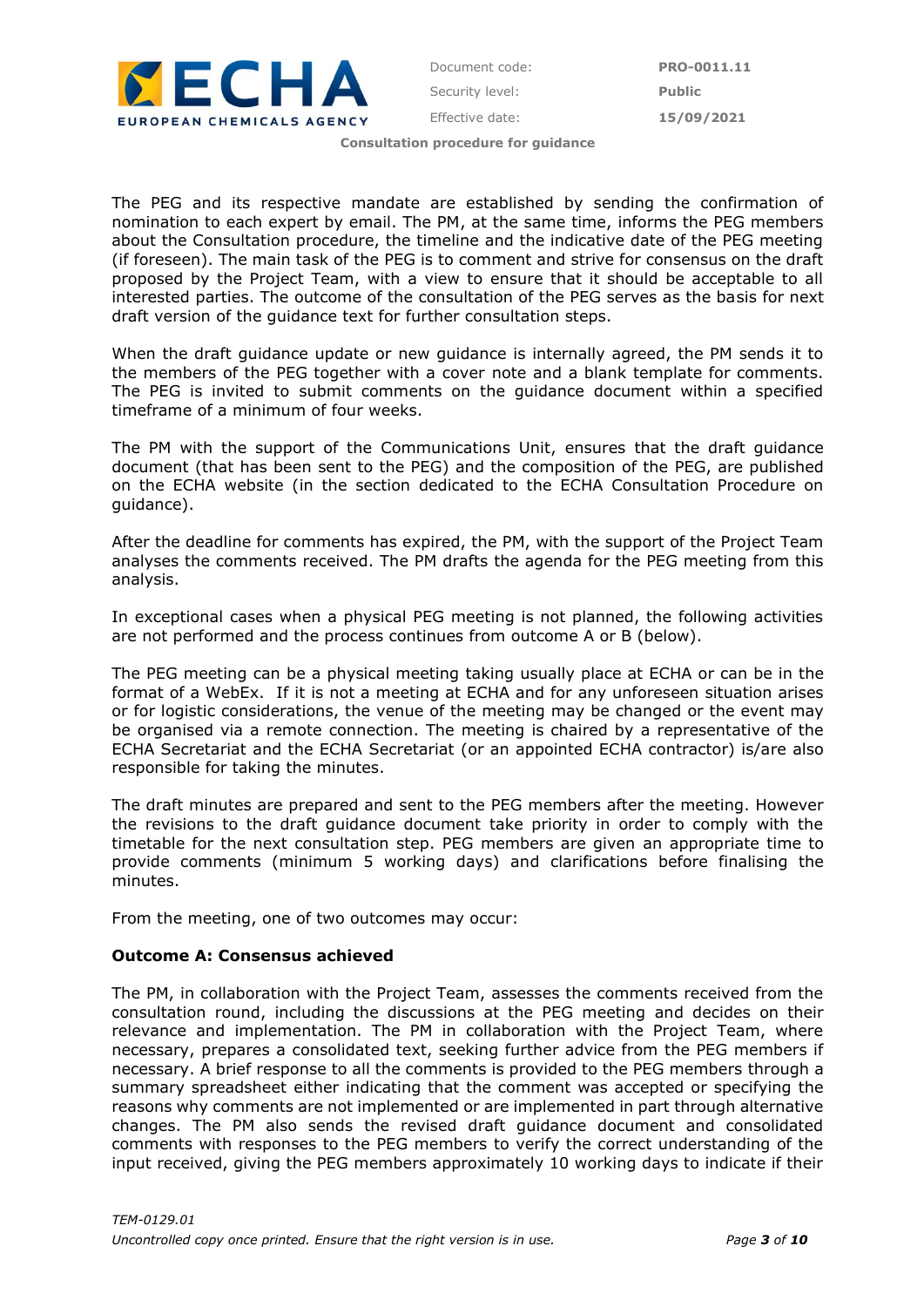

The PEG and its respective mandate are established by sending the confirmation of nomination to each expert by email. The PM, at the same time, informs the PEG members about the Consultation procedure, the timeline and the indicative date of the PEG meeting (if foreseen). The main task of the PEG is to comment and strive for consensus on the draft proposed by the Project Team, with a view to ensure that it should be acceptable to all interested parties. The outcome of the consultation of the PEG serves as the basis for next draft version of the guidance text for further consultation steps.

When the draft guidance update or new guidance is internally agreed, the PM sends it to the members of the PEG together with a cover note and a blank template for comments. The PEG is invited to submit comments on the guidance document within a specified timeframe of a minimum of four weeks.

The PM with the support of the Communications Unit, ensures that the draft guidance document (that has been sent to the PEG) and the composition of the PEG, are published on the ECHA website (in the section dedicated to the ECHA Consultation Procedure on guidance).

After the deadline for comments has expired, the PM, with the support of the Project Team analyses the comments received. The PM drafts the agenda for the PEG meeting from this analysis.

In exceptional cases when a physical PEG meeting is not planned, the following activities are not performed and the process continues from outcome A or B (below).

The PEG meeting can be a physical meeting taking usually place at ECHA or can be in the format of a WebEx. If it is not a meeting at ECHA and for any unforeseen situation arises or for logistic considerations, the venue of the meeting may be changed or the event may be organised via a remote connection. The meeting is chaired by a representative of the ECHA Secretariat and the ECHA Secretariat (or an appointed ECHA contractor) is/are also responsible for taking the minutes.

The draft minutes are prepared and sent to the PEG members after the meeting. However the revisions to the draft guidance document take priority in order to comply with the timetable for the next consultation step. PEG members are given an appropriate time to provide comments (minimum 5 working days) and clarifications before finalising the minutes.

From the meeting, one of two outcomes may occur:

#### **Outcome A: Consensus achieved**

The PM, in collaboration with the Project Team, assesses the comments received from the consultation round, including the discussions at the PEG meeting and decides on their relevance and implementation. The PM in collaboration with the Project Team, where necessary, prepares a consolidated text, seeking further advice from the PEG members if necessary. A brief response to all the comments is provided to the PEG members through a summary spreadsheet either indicating that the comment was accepted or specifying the reasons why comments are not implemented or are implemented in part through alternative changes. The PM also sends the revised draft guidance document and consolidated comments with responses to the PEG members to verify the correct understanding of the input received, giving the PEG members approximately 10 working days to indicate if their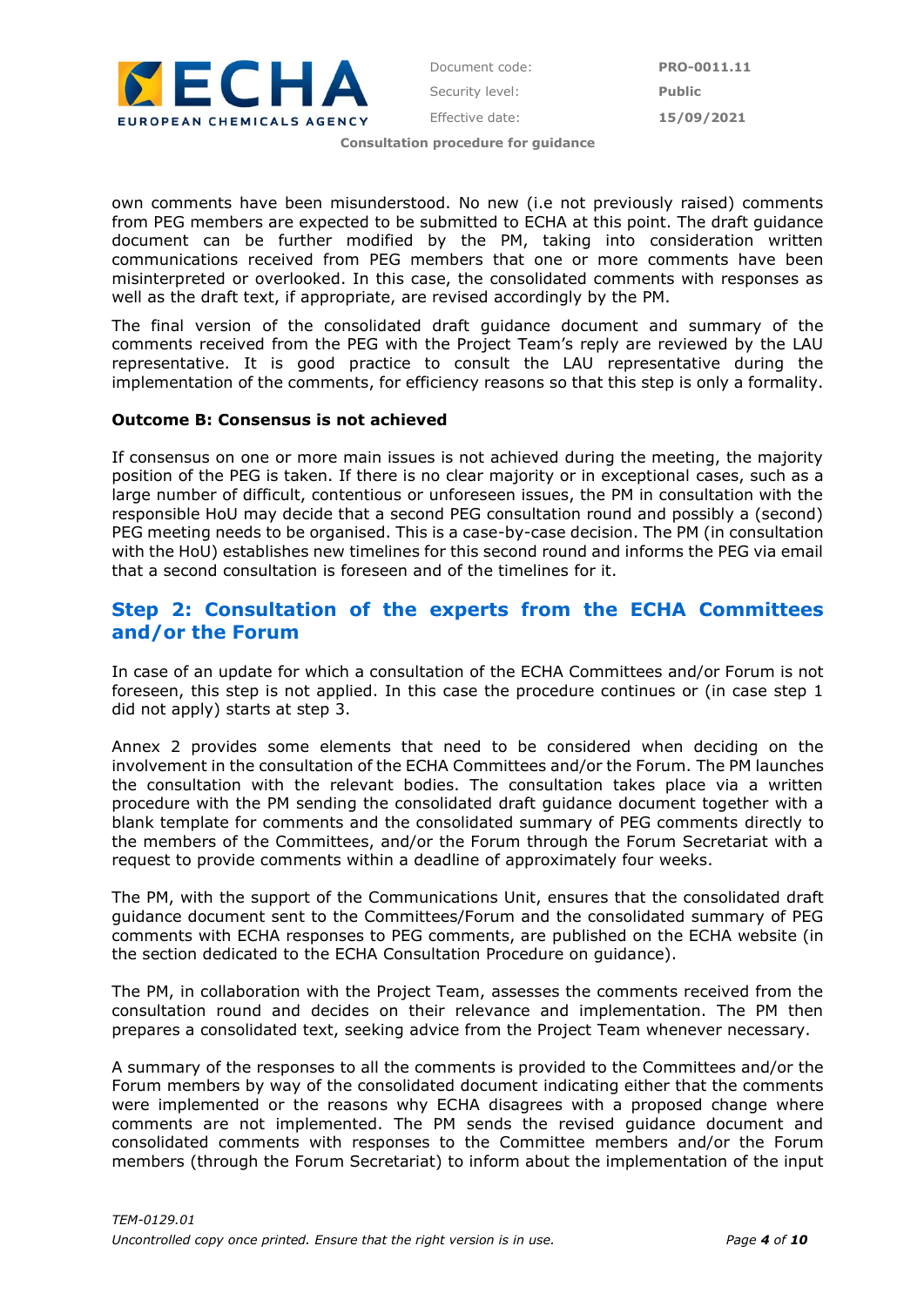

own comments have been misunderstood. No new (i.e not previously raised) comments from PEG members are expected to be submitted to ECHA at this point. The draft guidance document can be further modified by the PM, taking into consideration written communications received from PEG members that one or more comments have been misinterpreted or overlooked. In this case, the consolidated comments with responses as well as the draft text, if appropriate, are revised accordingly by the PM.

The final version of the consolidated draft guidance document and summary of the comments received from the PEG with the Project Team's reply are reviewed by the LAU representative. It is good practice to consult the LAU representative during the implementation of the comments, for efficiency reasons so that this step is only a formality.

#### **Outcome B: Consensus is not achieved**

If consensus on one or more main issues is not achieved during the meeting, the majority position of the PEG is taken. If there is no clear majority or in exceptional cases, such as a large number of difficult, contentious or unforeseen issues, the PM in consultation with the responsible HoU may decide that a second PEG consultation round and possibly a (second) PEG meeting needs to be organised. This is a case-by-case decision. The PM (in consultation with the HoU) establishes new timelines for this second round and informs the PEG via email that a second consultation is foreseen and of the timelines for it.

### **Step 2: Consultation of the experts from the ECHA Committees and/or the Forum**

In case of an update for which a consultation of the ECHA Committees and/or Forum is not foreseen, this step is not applied. In this case the procedure continues or (in case step 1 did not apply) starts at step 3.

Annex 2 provides some elements that need to be considered when deciding on the involvement in the consultation of the ECHA Committees and/or the Forum. The PM launches the consultation with the relevant bodies. The consultation takes place via a written procedure with the PM sending the consolidated draft guidance document together with a blank template for comments and the consolidated summary of PEG comments directly to the members of the Committees, and/or the Forum through the Forum Secretariat with a request to provide comments within a deadline of approximately four weeks.

The PM, with the support of the Communications Unit, ensures that the consolidated draft guidance document sent to the Committees/Forum and the consolidated summary of PEG comments with ECHA responses to PEG comments, are published on the ECHA website (in the section dedicated to the ECHA Consultation Procedure on guidance).

The PM, in collaboration with the Project Team, assesses the comments received from the consultation round and decides on their relevance and implementation. The PM then prepares a consolidated text, seeking advice from the Project Team whenever necessary.

A summary of the responses to all the comments is provided to the Committees and/or the Forum members by way of the consolidated document indicating either that the comments were implemented or the reasons why ECHA disagrees with a proposed change where comments are not implemented. The PM sends the revised guidance document and consolidated comments with responses to the Committee members and/or the Forum members (through the Forum Secretariat) to inform about the implementation of the input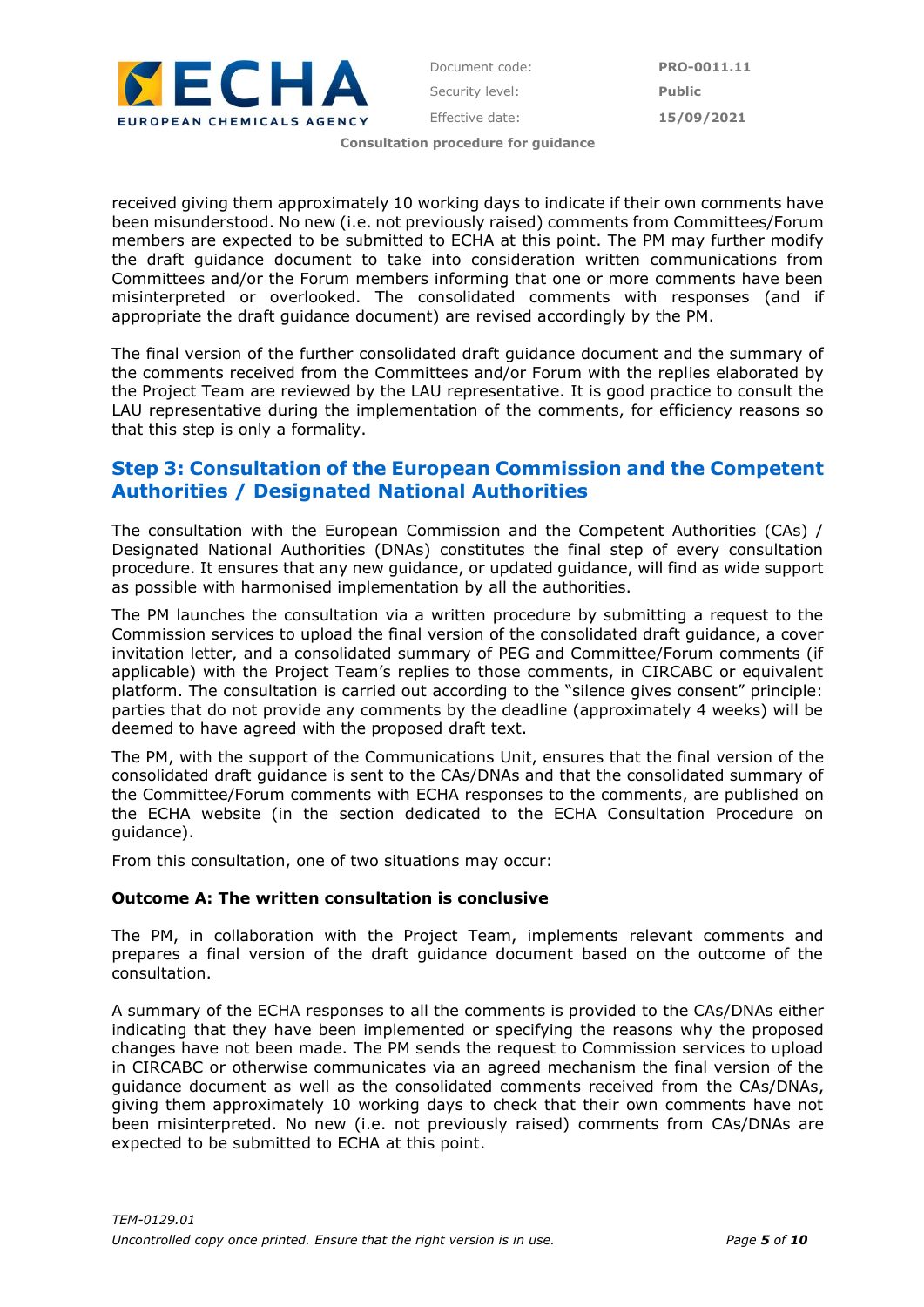

received giving them approximately 10 working days to indicate if their own comments have been misunderstood. No new (i.e. not previously raised) comments from Committees/Forum members are expected to be submitted to ECHA at this point. The PM may further modify the draft guidance document to take into consideration written communications from Committees and/or the Forum members informing that one or more comments have been misinterpreted or overlooked. The consolidated comments with responses (and if appropriate the draft guidance document) are revised accordingly by the PM.

The final version of the further consolidated draft guidance document and the summary of the comments received from the Committees and/or Forum with the replies elaborated by the Project Team are reviewed by the LAU representative. It is good practice to consult the LAU representative during the implementation of the comments, for efficiency reasons so that this step is only a formality.

### **Step 3: Consultation of the European Commission and the Competent Authorities / Designated National Authorities**

The consultation with the European Commission and the Competent Authorities (CAs) / Designated National Authorities (DNAs) constitutes the final step of every consultation procedure. It ensures that any new guidance, or updated guidance, will find as wide support as possible with harmonised implementation by all the authorities.

The PM launches the consultation via a written procedure by submitting a request to the Commission services to upload the final version of the consolidated draft guidance, a cover invitation letter, and a consolidated summary of PEG and Committee/Forum comments (if applicable) with the Project Team's replies to those comments, in CIRCABC or equivalent platform. The consultation is carried out according to the "silence gives consent" principle: parties that do not provide any comments by the deadline (approximately 4 weeks) will be deemed to have agreed with the proposed draft text.

The PM, with the support of the Communications Unit, ensures that the final version of the consolidated draft guidance is sent to the CAs/DNAs and that the consolidated summary of the Committee/Forum comments with ECHA responses to the comments, are published on the ECHA website (in the section dedicated to the ECHA Consultation Procedure on guidance).

From this consultation, one of two situations may occur:

#### **Outcome A: The written consultation is conclusive**

The PM, in collaboration with the Project Team, implements relevant comments and prepares a final version of the draft guidance document based on the outcome of the consultation.

A summary of the ECHA responses to all the comments is provided to the CAs/DNAs either indicating that they have been implemented or specifying the reasons why the proposed changes have not been made. The PM sends the request to Commission services to upload in CIRCABC or otherwise communicates via an agreed mechanism the final version of the guidance document as well as the consolidated comments received from the CAs/DNAs, giving them approximately 10 working days to check that their own comments have not been misinterpreted. No new (i.e. not previously raised) comments from CAs/DNAs are expected to be submitted to ECHA at this point.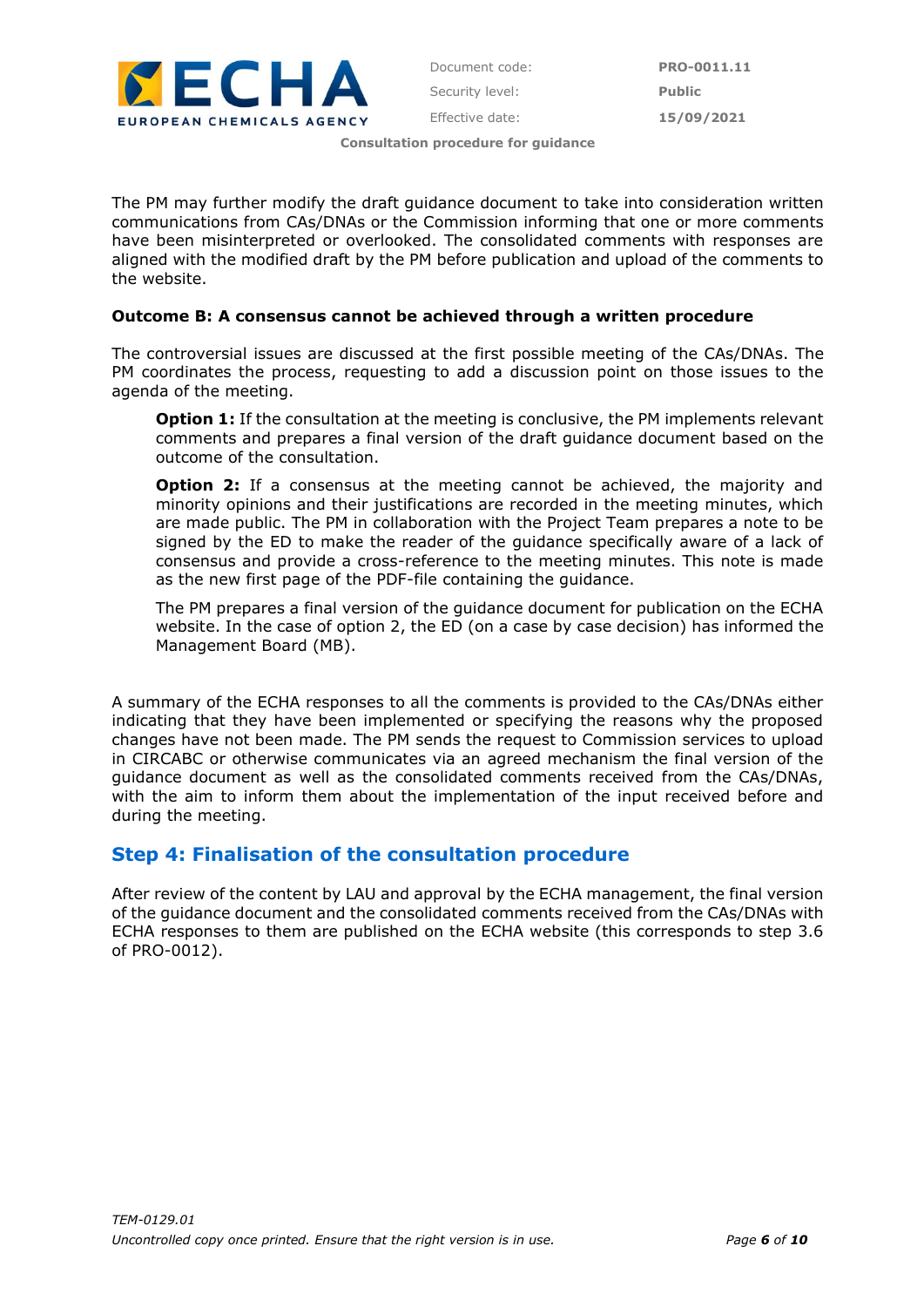

The PM may further modify the draft guidance document to take into consideration written communications from CAs/DNAs or the Commission informing that one or more comments have been misinterpreted or overlooked. The consolidated comments with responses are aligned with the modified draft by the PM before publication and upload of the comments to the website.

#### **Outcome B: A consensus cannot be achieved through a written procedure**

The controversial issues are discussed at the first possible meeting of the CAs/DNAs. The PM coordinates the process, requesting to add a discussion point on those issues to the agenda of the meeting.

**Option 1:** If the consultation at the meeting is conclusive, the PM implements relevant comments and prepares a final version of the draft guidance document based on the outcome of the consultation.

**Option 2:** If a consensus at the meeting cannot be achieved, the majority and minority opinions and their justifications are recorded in the meeting minutes, which are made public. The PM in collaboration with the Project Team prepares a note to be signed by the ED to make the reader of the guidance specifically aware of a lack of consensus and provide a cross-reference to the meeting minutes. This note is made as the new first page of the PDF-file containing the guidance.

The PM prepares a final version of the guidance document for publication on the ECHA website. In the case of option 2, the ED (on a case by case decision) has informed the Management Board (MB).

A summary of the ECHA responses to all the comments is provided to the CAs/DNAs either indicating that they have been implemented or specifying the reasons why the proposed changes have not been made. The PM sends the request to Commission services to upload in CIRCABC or otherwise communicates via an agreed mechanism the final version of the guidance document as well as the consolidated comments received from the CAs/DNAs, with the aim to inform them about the implementation of the input received before and during the meeting.

### **Step 4: Finalisation of the consultation procedure**

After review of the content by LAU and approval by the ECHA management, the final version of the guidance document and the consolidated comments received from the CAs/DNAs with ECHA responses to them are published on the ECHA website (this corresponds to step 3.6 of PRO-0012).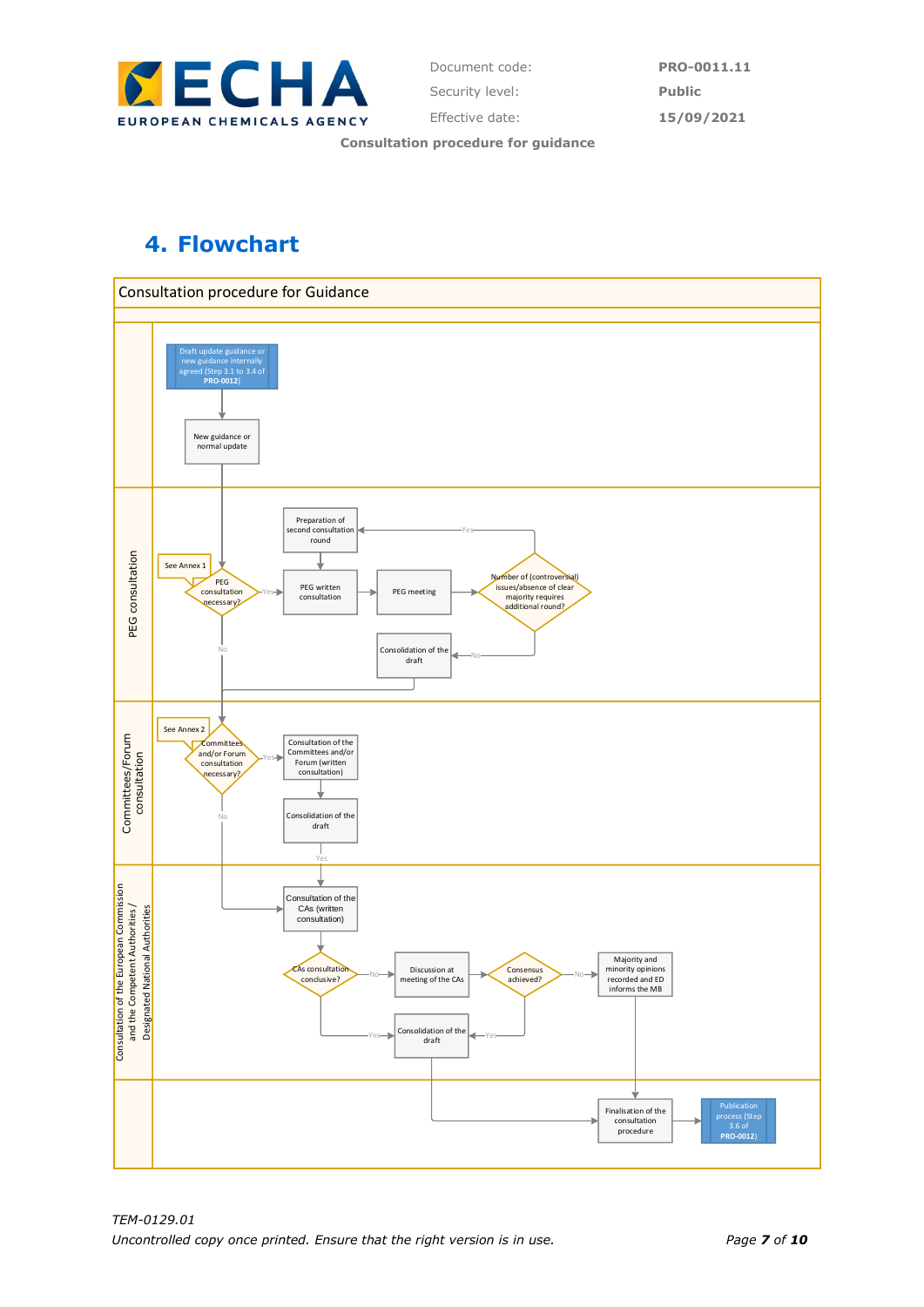

Document code: **PRO-0011.11** Security level: **Public** Effective date: **15/09/2021**

**Consultation procedure for guidance**

# **4. Flowchart**

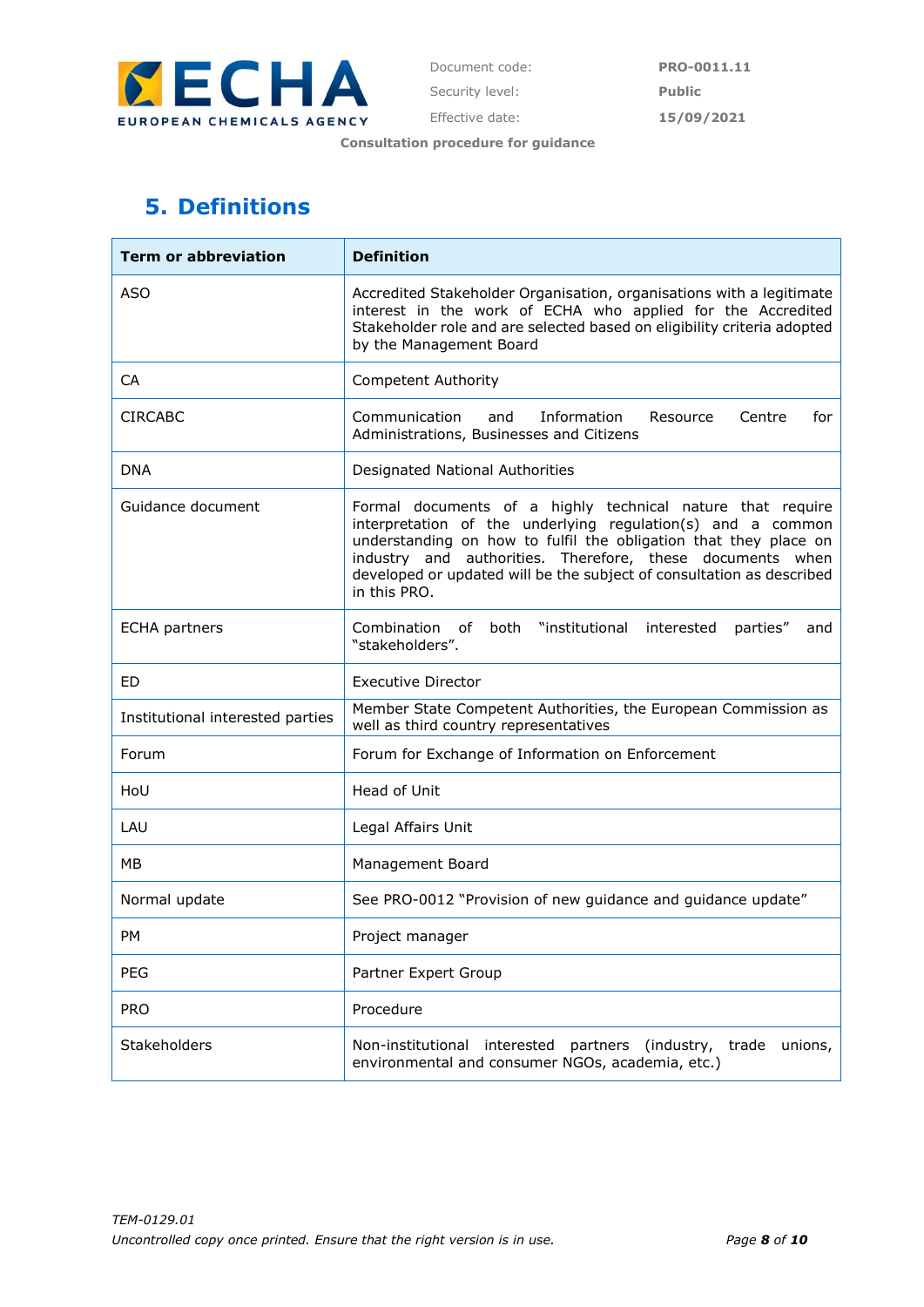

# **5. Definitions**

| <b>Term or abbreviation</b>      | <b>Definition</b>                                                                                                                                                                                                                                                                                                                                   |
|----------------------------------|-----------------------------------------------------------------------------------------------------------------------------------------------------------------------------------------------------------------------------------------------------------------------------------------------------------------------------------------------------|
| <b>ASO</b>                       | Accredited Stakeholder Organisation, organisations with a legitimate<br>interest in the work of ECHA who applied for the Accredited<br>Stakeholder role and are selected based on eligibility criteria adopted<br>by the Management Board                                                                                                           |
| CA                               | <b>Competent Authority</b>                                                                                                                                                                                                                                                                                                                          |
| <b>CIRCABC</b>                   | Communication<br>Information<br>Resource<br>Centre<br>for<br>and<br>Administrations, Businesses and Citizens                                                                                                                                                                                                                                        |
| <b>DNA</b>                       | Designated National Authorities                                                                                                                                                                                                                                                                                                                     |
| Guidance document                | Formal documents of a highly technical nature that require<br>interpretation of the underlying regulation(s) and a common<br>understanding on how to fulfil the obligation that they place on<br>industry and authorities. Therefore, these documents when<br>developed or updated will be the subject of consultation as described<br>in this PRO. |
| <b>ECHA</b> partners             | "institutional interested<br>Combination of<br>both<br>parties"<br>and<br>"stakeholders".                                                                                                                                                                                                                                                           |
| ED                               | <b>Executive Director</b>                                                                                                                                                                                                                                                                                                                           |
| Institutional interested parties | Member State Competent Authorities, the European Commission as<br>well as third country representatives                                                                                                                                                                                                                                             |
| Forum                            | Forum for Exchange of Information on Enforcement                                                                                                                                                                                                                                                                                                    |
| HoU                              | Head of Unit                                                                                                                                                                                                                                                                                                                                        |
| LAU                              | Legal Affairs Unit                                                                                                                                                                                                                                                                                                                                  |
| МB                               | Management Board                                                                                                                                                                                                                                                                                                                                    |
| Normal update                    | See PRO-0012 "Provision of new guidance and guidance update"                                                                                                                                                                                                                                                                                        |
| PM                               | Project manager                                                                                                                                                                                                                                                                                                                                     |
| <b>PEG</b>                       | Partner Expert Group                                                                                                                                                                                                                                                                                                                                |
| <b>PRO</b>                       | Procedure                                                                                                                                                                                                                                                                                                                                           |
| Stakeholders                     | Non-institutional interested partners (industry,<br>unions,<br>trade<br>environmental and consumer NGOs, academia, etc.)                                                                                                                                                                                                                            |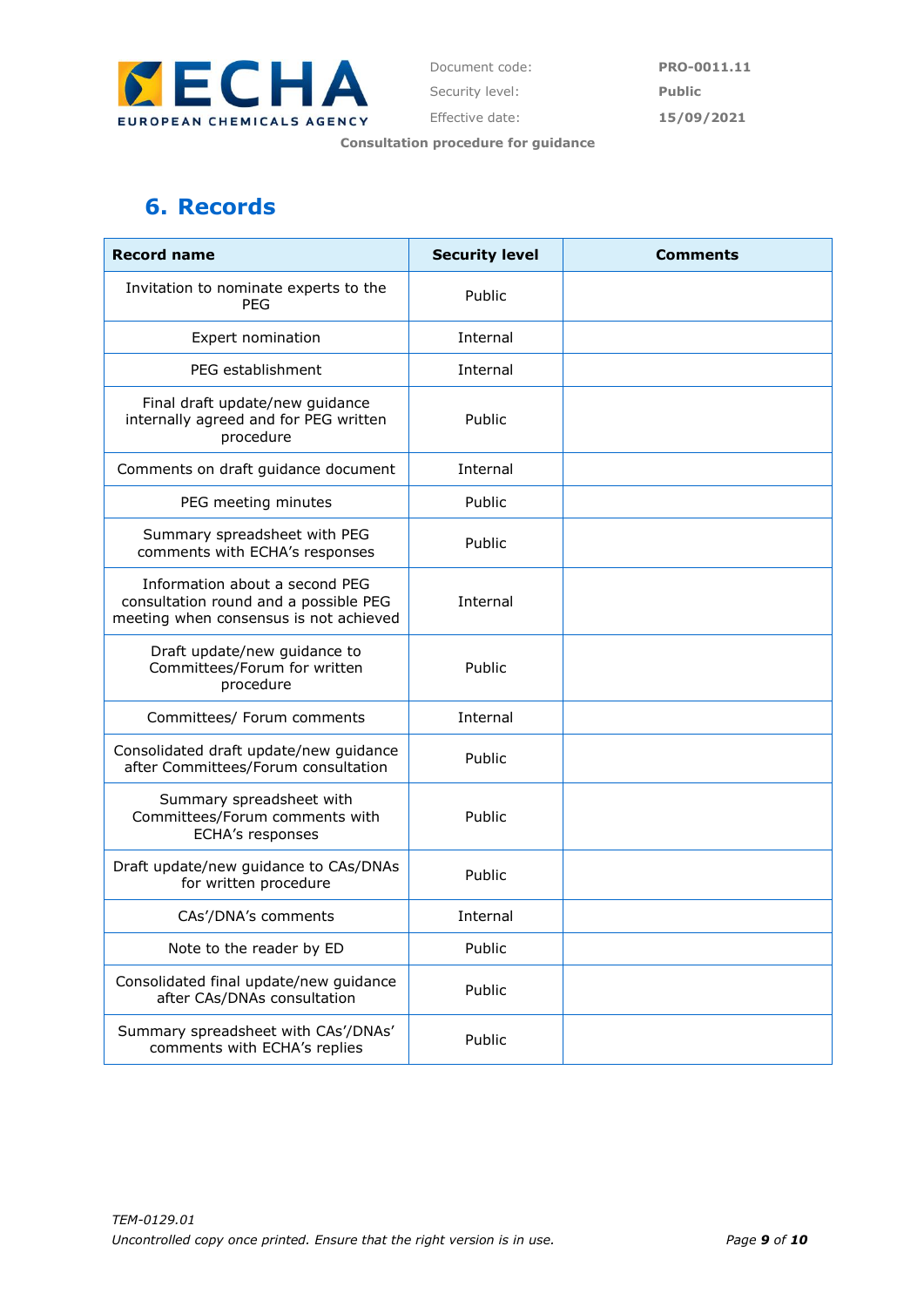

# **6. Records**

| <b>Record name</b>                                                                                                | <b>Security level</b> | Comments |
|-------------------------------------------------------------------------------------------------------------------|-----------------------|----------|
| Invitation to nominate experts to the<br><b>PEG</b>                                                               | Public                |          |
| Expert nomination                                                                                                 | Internal              |          |
| PEG establishment                                                                                                 | Internal              |          |
| Final draft update/new guidance<br>internally agreed and for PEG written<br>procedure                             | Public                |          |
| Comments on draft guidance document                                                                               | Internal              |          |
| PEG meeting minutes                                                                                               | Public                |          |
| Summary spreadsheet with PEG<br>comments with ECHA's responses                                                    | Public                |          |
| Information about a second PEG<br>consultation round and a possible PEG<br>meeting when consensus is not achieved | Internal              |          |
| Draft update/new guidance to<br>Committees/Forum for written<br>procedure                                         | Public                |          |
| Committees/ Forum comments                                                                                        | Internal              |          |
| Consolidated draft update/new guidance<br>after Committees/Forum consultation                                     | Public                |          |
| Summary spreadsheet with<br>Committees/Forum comments with<br>ECHA's responses                                    | Public                |          |
| Draft update/new guidance to CAs/DNAs<br>for written procedure                                                    | Public                |          |
| CAs'/DNA's comments                                                                                               | Internal              |          |
| Note to the reader by ED                                                                                          | Public                |          |
| Consolidated final update/new guidance<br>after CAs/DNAs consultation                                             | Public                |          |
| Summary spreadsheet with CAs'/DNAs'<br>comments with ECHA's replies                                               | Public                |          |